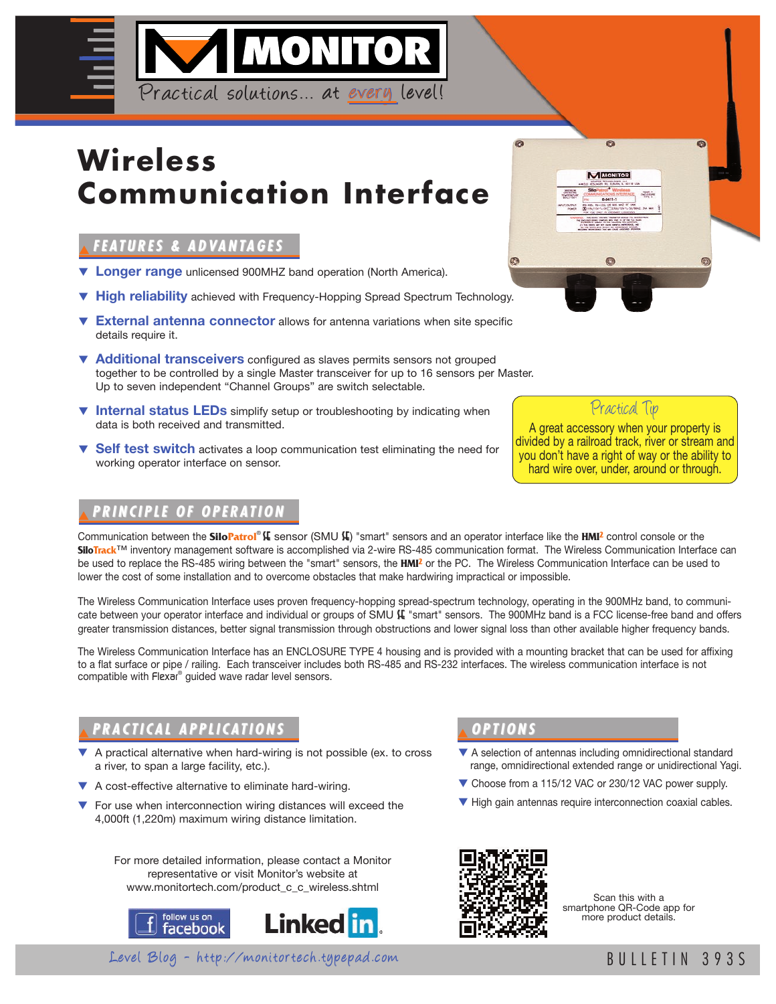

# **Wireless Communication Interface**

### ▼**FE AT U R E S & A D VA N TA G E S**

- ▼ **Longer range** unlicensed 900MHZ band operation (North America).
- ▼ **High reliability** achieved with Frequency-Hopping Spread Spectrum Technology.
- ▼ **External antenna connector** allows for antenna variations when site specific details require it.
- ▼ **Additional transceivers** configured as slaves permits sensors not grouped together to be controlled by a single Master transceiver for up to 16 sensors per Master. Up to seven independent "Channel Groups" are switch selectable.
- ▼ **Internal status LEDs** simplify setup or troubleshooting by indicating when data is both received and transmitted.
- ▼ **Self test switch** activates a loop communication test eliminating the need for working operator interface on sensor.

### ▼**P R I N C I P LE O F O P E R AT I O N**

Communication between the **SiloPatrol® (E** sensor (SMU (E) "smart" sensors and an operator interface like the HMI<sup>2</sup> control console or the **SiloTrack**™ inventory management software is accomplished via 2-wire RS-485 communication format. The Wireless Communication Interface can be used to replace the RS-485 wiring between the "smart" sensors, the **HMI2** or the PC. The Wireless Communication Interface can be used to lower the cost of some installation and to overcome obstacles that make hardwiring impractical or impossible.

The Wireless Communication Interface uses proven frequency-hopping spread-spectrum technology, operating in the 900MHz band, to communicate between your operator interface and individual or groups of SMU  $\mathbf{K}$  "smart" sensors. The 900MHz band is a FCC license-free band and offers greater transmission distances, better signal transmission through obstructions and lower signal loss than other available higher frequency bands.

The Wireless Communication Interface has an ENCLOSURE TYPE 4 housing and is provided with a mounting bracket that can be used for affixing to a flat surface or pipe / railing. Each transceiver includes both RS-485 and RS-232 interfaces. The wireless communication interface is not compatible with Flexar® guided wave radar level sensors.

# PRACTICAL APPLICATIONS **A** OPTIONS

- ▼ A practical alternative when hard-wiring is not possible (ex. to cross a river, to span a large facility, etc.).
- ▼ A cost-effective alternative to eliminate hard-wiring.
- For use when interconnection wiring distances will exceed the 4,000ft (1,220m) maximum wiring distance limitation.

For more detailed information, please contact a Monitor representative or visit Monitor's website at www.monitortech.com/product\_c\_c\_wireless.shtml





- ▼ A selection of antennas including omnidirectional standard range, omnidirectional extended range or unidirectional Yagi.
- ▼ Choose from a 115/12 VAC or 230/12 VAC power supply.
- ▼ High gain antennas require interconnection coaxial cables.



Scan this with a smartphone QR-Code app for more product details.



A great accessory when your property is divided by a railroad track, river or stream and

Practical Tip

you don't have a right of way or the ability to hard wire over, under, around or through.



Level Blog - http://monitortech.typepad.com